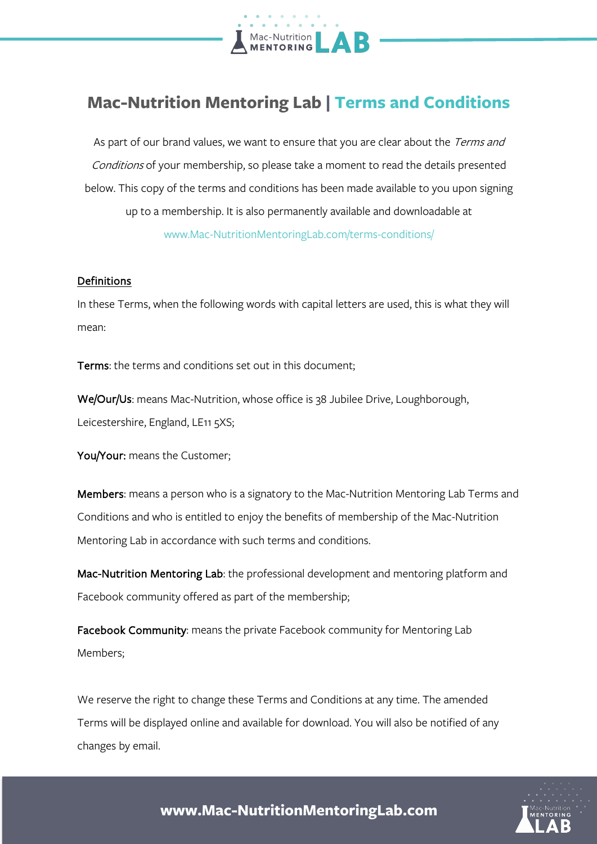

# **Mac-Nutrition Mentoring Lab | Terms and Conditions**

As part of our brand values, we want to ensure that you are clear about the Terms and Conditions of your membership, so please take a moment to read the details presented below. This copy of the terms and conditions has been made available to you upon signing up to a membership. It is also permanently available and downloadable at www.Mac-NutritionMentoringLab.com/terms-conditions/

#### **Definitions**

In these Terms, when the following words with capital letters are used, this is what they will mean:

Terms: the terms and conditions set out in this document;

We/Our/Us: means Mac-Nutrition, whose office is 38 Jubilee Drive, Loughborough, Leicestershire, England, LE11 5XS;

You/Your: means the Customer;

Members: means a person who is a signatory to the Mac-Nutrition Mentoring Lab Terms and Conditions and who is entitled to enjoy the benefits of membership of the Mac-Nutrition Mentoring Lab in accordance with such terms and conditions.

Mac-Nutrition Mentoring Lab: the professional development and mentoring platform and Facebook community offered as part of the membership;

Facebook Community: means the private Facebook community for Mentoring Lab Members;

We reserve the right to change these Terms and Conditions at any time. The amended Terms will be displayed online and available for download. You will also be notified of any changes by email.

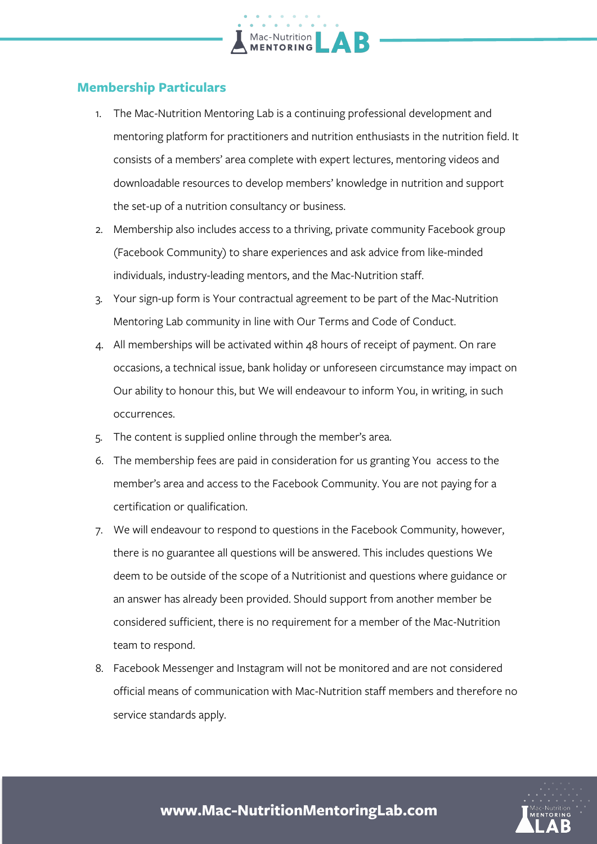## **Membership Particulars**

1. The Mac-Nutrition Mentoring Lab is a continuing professional development and mentoring platform for practitioners and nutrition enthusiasts in the nutrition field. It consists of a members' area complete with expert lectures, mentoring videos and downloadable resources to develop members' knowledge in nutrition and support the set-up of a nutrition consultancy or business.

Mac-Nutrition

- 2. Membership also includes access to a thriving, private community Facebook group (Facebook Community) to share experiences and ask advice from like-minded individuals, industry-leading mentors, and the Mac-Nutrition staff.
- 3. Your sign-up form is Your contractual agreement to be part of the Mac-Nutrition Mentoring Lab community in line with Our Terms and Code of Conduct.
- 4. All memberships will be activated within 48 hours of receipt of payment. On rare occasions, a technical issue, bank holiday or unforeseen circumstance may impact on Our ability to honour this, but We will endeavour to inform You, in writing, in such occurrences.
- 5. The content is supplied online through the member's area.
- 6. The membership fees are paid in consideration for us granting You access to the member's area and access to the Facebook Community. You are not paying for a certification or qualification.
- 7. We will endeavour to respond to questions in the Facebook Community, however, there is no guarantee all questions will be answered. This includes questions We deem to be outside of the scope of a Nutritionist and questions where guidance or an answer has already been provided. Should support from another member be considered sufficient, there is no requirement for a member of the Mac-Nutrition team to respond.
- 8. Facebook Messenger and Instagram will not be monitored and are not considered official means of communication with Mac-Nutrition staff members and therefore no service standards apply.

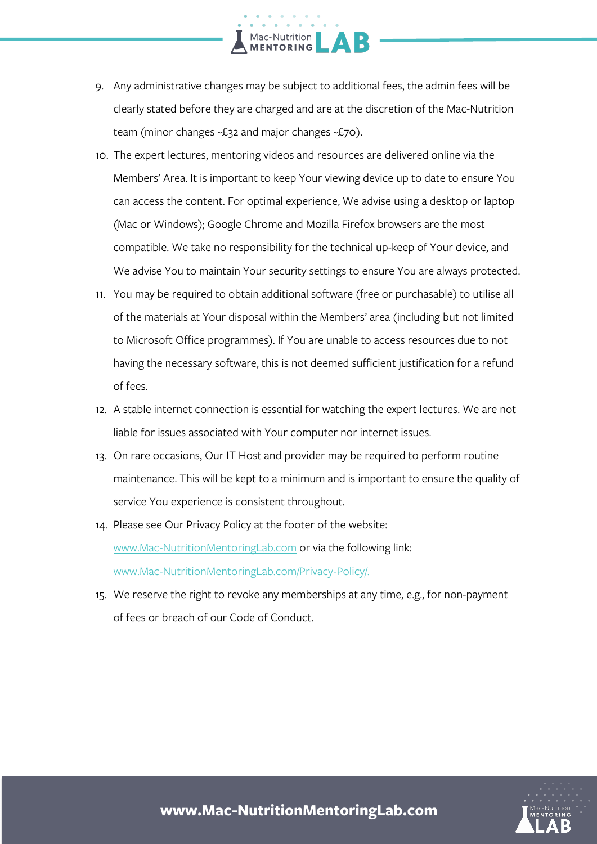9. Any administrative changes may be subject to additional fees, the admin fees will be clearly stated before they are charged and are at the discretion of the Mac-Nutrition team (minor changes ~£32 and major changes ~£70).

Mac-Nutrition

- 10. The expert lectures, mentoring videos and resources are delivered online via the Members' Area. It is important to keep Your viewing device up to date to ensure You can access the content. For optimal experience, We advise using a desktop or laptop (Mac or Windows); Google Chrome and Mozilla Firefox browsers are the most compatible. We take no responsibility for the technical up-keep of Your device, and We advise You to maintain Your security settings to ensure You are always protected.
- 11. You may be required to obtain additional software (free or purchasable) to utilise all of the materials at Your disposal within the Members' area (including but not limited to Microsoft Office programmes). If You are unable to access resources due to not having the necessary software, this is not deemed sufficient justification for a refund of fees.
- 12. A stable internet connection is essential for watching the expert lectures. We are not liable for issues associated with Your computer nor internet issues.
- 13. On rare occasions, Our IT Host and provider may be required to perform routine maintenance. This will be kept to a minimum and is important to ensure the quality of service You experience is consistent throughout.
- 14. Please see Our Privacy Policy at the footer of the website: www.Mac-NutritionMentoringLab.com or via the following link: www.Mac-NutritionMentoringLab.com/Privacy-Policy/.
- 15. We reserve the right to revoke any memberships at any time, e.g., for non-payment of fees or breach of our Code of Conduct.

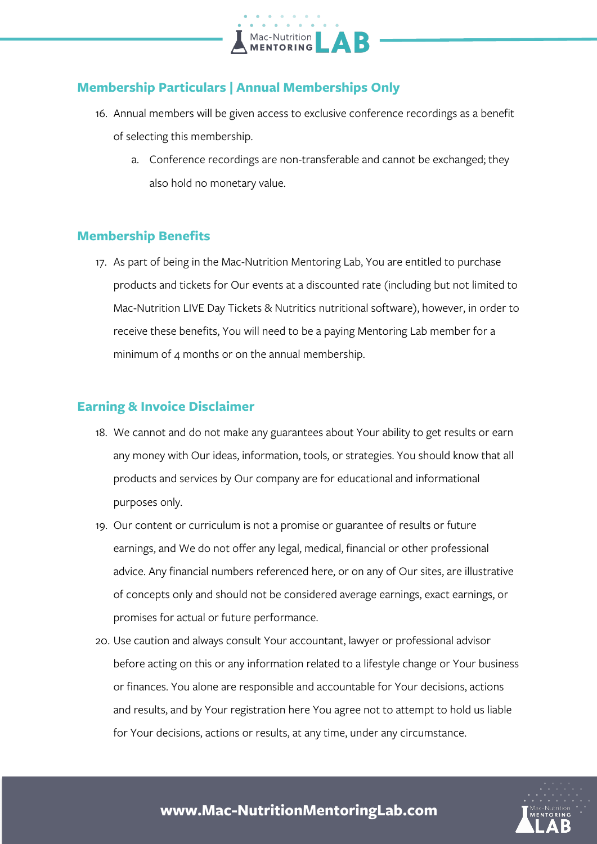

#### **Membership Particulars | Annual Memberships Only**

- 16. Annual members will be given access to exclusive conference recordings as a benefit of selecting this membership.
	- a. Conference recordings are non-transferable and cannot be exchanged; they also hold no monetary value.

#### **Membership Benefits**

17. As part of being in the Mac-Nutrition Mentoring Lab, You are entitled to purchase products and tickets for Our events at a discounted rate (including but not limited to Mac-Nutrition LIVE Day Tickets & Nutritics nutritional software), however, in order to receive these benefits, You will need to be a paying Mentoring Lab member for a minimum of 4 months or on the annual membership.

#### **Earning & Invoice Disclaimer**

- 18. We cannot and do not make any guarantees about Your ability to get results or earn any money with Our ideas, information, tools, or strategies. You should know that all products and services by Our company are for educational and informational purposes only.
- 19. Our content or curriculum is not a promise or guarantee of results or future earnings, and We do not offer any legal, medical, financial or other professional advice. Any financial numbers referenced here, or on any of Our sites, are illustrative of concepts only and should not be considered average earnings, exact earnings, or promises for actual or future performance.
- 20. Use caution and always consult Your accountant, lawyer or professional advisor before acting on this or any information related to a lifestyle change or Your business or finances. You alone are responsible and accountable for Your decisions, actions and results, and by Your registration here You agree not to attempt to hold us liable for Your decisions, actions or results, at any time, under any circumstance.

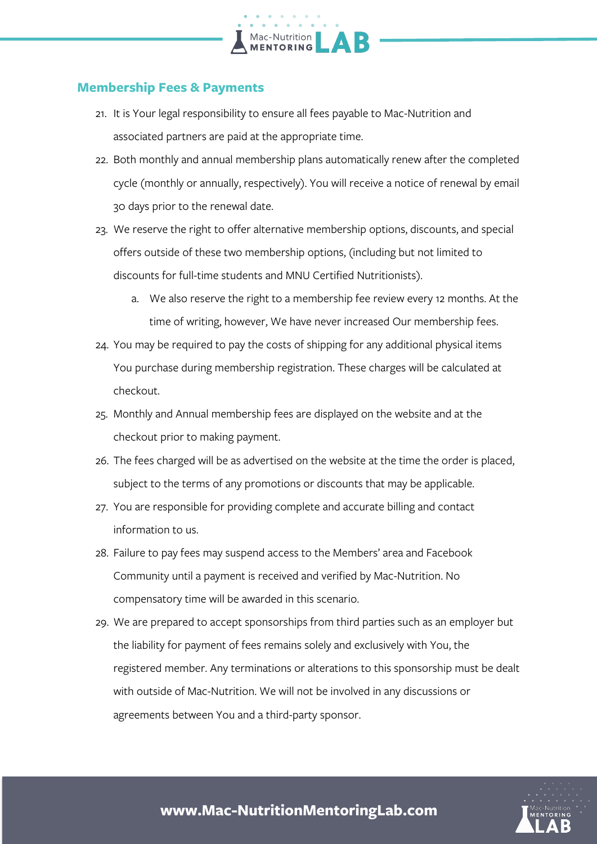#### **Membership Fees & Payments**

21. It is Your legal responsibility to ensure all fees payable to Mac-Nutrition and associated partners are paid at the appropriate time.

Mac-Nutrition<br>**MENTORING** 

- 22. Both monthly and annual membership plans automatically renew after the completed cycle (monthly or annually, respectively). You will receive a notice of renewal by email 30 days prior to the renewal date.
- 23. We reserve the right to offer alternative membership options, discounts, and special offers outside of these two membership options, (including but not limited to discounts for full-time students and MNU Certified Nutritionists).
	- a. We also reserve the right to a membership fee review every 12 months. At the time of writing, however, We have never increased Our membership fees.
- 24. You may be required to pay the costs of shipping for any additional physical items You purchase during membership registration. These charges will be calculated at checkout.
- 25. Monthly and Annual membership fees are displayed on the website and at the checkout prior to making payment.
- 26. The fees charged will be as advertised on the website at the time the order is placed, subject to the terms of any promotions or discounts that may be applicable.
- 27. You are responsible for providing complete and accurate billing and contact information to us.
- 28. Failure to pay fees may suspend access to the Members' area and Facebook Community until a payment is received and verified by Mac-Nutrition. No compensatory time will be awarded in this scenario.
- 29. We are prepared to accept sponsorships from third parties such as an employer but the liability for payment of fees remains solely and exclusively with You, the registered member. Any terminations or alterations to this sponsorship must be dealt with outside of Mac-Nutrition. We will not be involved in any discussions or agreements between You and a third-party sponsor.

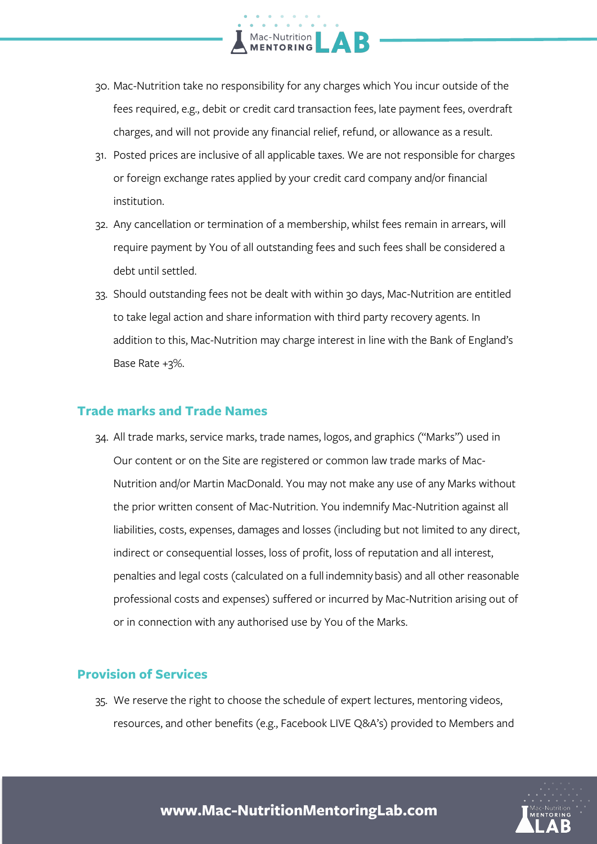

- 30. Mac-Nutrition take no responsibility for any charges which You incur outside of the fees required, e.g., debit or credit card transaction fees, late payment fees, overdraft charges, and will not provide any financial relief, refund, or allowance as a result.
- 31. Posted prices are inclusive of all applicable taxes. We are not responsible for charges or foreign exchange rates applied by your credit card company and/or financial institution.
- 32. Any cancellation or termination of a membership, whilst fees remain in arrears, will require payment by You of all outstanding fees and such fees shall be considered a debt until settled.
- 33. Should outstanding fees not be dealt with within 30 days, Mac-Nutrition are entitled to take legal action and share information with third party recovery agents. In addition to this, Mac-Nutrition may charge interest in line with the Bank of England's Base Rate +3%.

#### **Trade marks and Trade Names**

34. All trade marks, service marks, trade names, logos, and graphics ("Marks") used in Our content or on the Site are registered or common law trade marks of Mac-Nutrition and/or Martin MacDonald. You may not make any use of any Marks without the prior written consent of Mac-Nutrition. You indemnify Mac-Nutrition against all liabilities, costs, expenses, damages and losses (including but not limited to any direct, indirect or consequential losses, loss of profit, loss of reputation and all interest, penalties and legal costs (calculated on a full indemnity basis) and all other reasonable professional costs and expenses) suffered or incurred by Mac-Nutrition arising out of or in connection with any authorised use by You of the Marks.

#### **Provision of Services**

35. We reserve the right to choose the schedule of expert lectures, mentoring videos, resources, and other benefits (e.g., Facebook LIVE Q&A's) provided to Members and

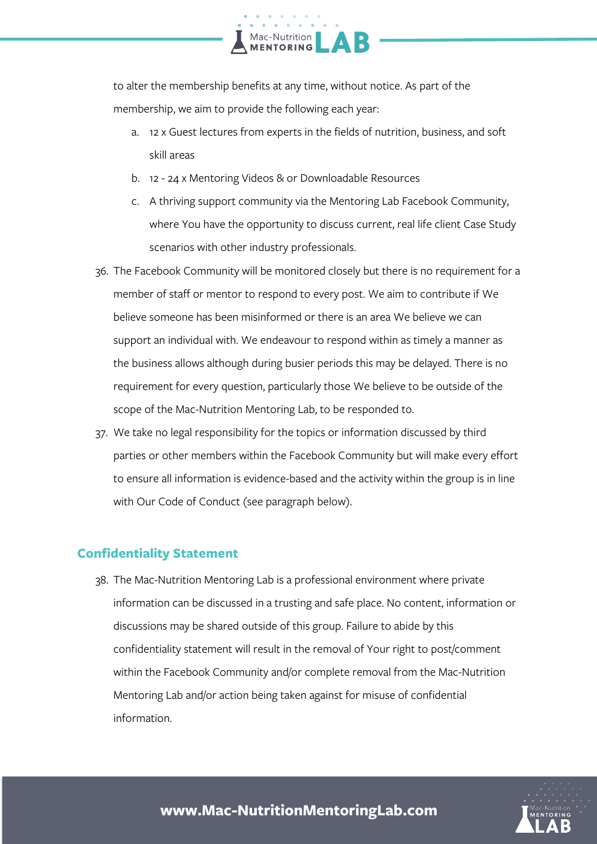

to alter the membership benefits at any time, without notice. As part of the membership, we aim to provide the following each year:

- a. 12 x Guest lectures from experts in the fields of nutrition, business, and soft skill areas
- b. 12 24 x Mentoring Videos & or Downloadable Resources
- c. A thriving support community via the Mentoring Lab Facebook Community, where You have the opportunity to discuss current, real life client Case Study scenarios with other industry professionals.
- 36. The Facebook Community will be monitored closely but there is no requirement for a member of staff or mentor to respond to every post. We aim to contribute if We believe someone has been misinformed or there is an area We believe we can support an individual with. We endeavour to respond within as timely a manner as the business allows although during busier periods this may be delayed. There is no requirement for every question, particularly those We believe to be outside of the scope of the Mac-Nutrition Mentoring Lab, to be responded to.
- 37. We take no legal responsibility for the topics or information discussed by third parties or other members within the Facebook Community but will make every effort to ensure all information is evidence-based and the activity within the group is in line with Our Code of Conduct (see paragraph below).

#### **Confidentiality Statement**

38. The Mac-Nutrition Mentoring Lab is a professional environment where private information can be discussed in a trusting and safe place. No content, information or discussions may be shared outside of this group. Failure to abide by this confidentiality statement will result in the removal of Your right to post/comment within the Facebook Community and/or complete removal from the Mac-Nutrition Mentoring Lab and/or action being taken against for misuse of confidential information.

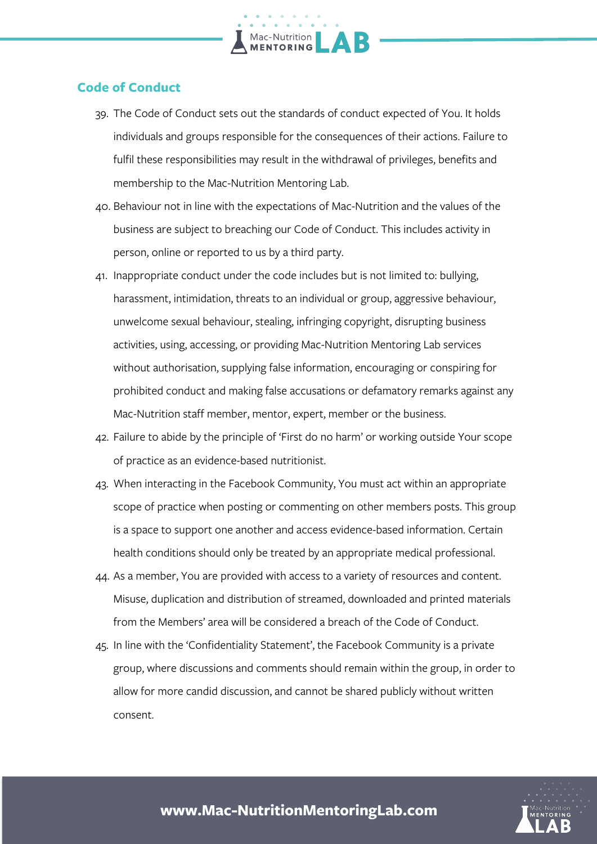

### **Code of Conduct**

- 39. The Code of Conduct sets out the standards of conduct expected of You. It holds individuals and groups responsible for the consequences of their actions. Failure to fulfil these responsibilities may result in the withdrawal of privileges, benefits and membership to the Mac-Nutrition Mentoring Lab.
- 40. Behaviour not in line with the expectations of Mac-Nutrition and the values of the business are subject to breaching our Code of Conduct. This includes activity in person, online or reported to us by a third party.
- 41. Inappropriate conduct under the code includes but is not limited to: bullying, harassment, intimidation, threats to an individual or group, aggressive behaviour, unwelcome sexual behaviour, stealing, infringing copyright, disrupting business activities, using, accessing, or providing Mac-Nutrition Mentoring Lab services without authorisation, supplying false information, encouraging or conspiring for prohibited conduct and making false accusations or defamatory remarks against any Mac-Nutrition staff member, mentor, expert, member or the business.
- 42. Failure to abide by the principle of 'First do no harm' or working outside Your scope of practice as an evidence-based nutritionist.
- 43. When interacting in the Facebook Community, You must act within an appropriate scope of practice when posting or commenting on other members posts. This group is a space to support one another and access evidence-based information. Certain health conditions should only be treated by an appropriate medical professional.
- 44. As a member, You are provided with access to a variety of resources and content. Misuse, duplication and distribution of streamed, downloaded and printed materials from the Members' area will be considered a breach of the Code of Conduct.
- 45. In line with the 'Confidentiality Statement', the Facebook Community is a private group, where discussions and comments should remain within the group, in order to allow for more candid discussion, and cannot be shared publicly without written consent.

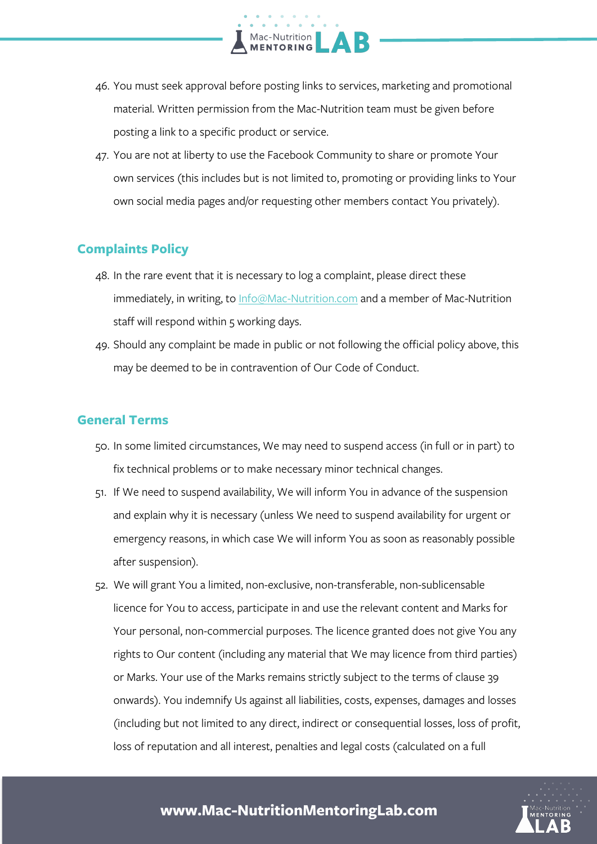46. You must seek approval before posting links to services, marketing and promotional material. Written permission from the Mac-Nutrition team must be given before posting a link to a specific product or service.

Mac-Nutrition

47. You are not at liberty to use the Facebook Community to share or promote Your own services (this includes but is not limited to, promoting or providing links to Your own social media pages and/or requesting other members contact You privately).

#### **Complaints Policy**

- 48. In the rare event that it is necessary to log a complaint, please direct these immediately, in writing, to Info@Mac-Nutrition.com and a member of Mac-Nutrition staff will respond within 5 working days.
- 49. Should any complaint be made in public or not following the official policy above, this may be deemed to be in contravention of Our Code of Conduct.

#### **General Terms**

- 50. In some limited circumstances, We may need to suspend access (in full or in part) to fix technical problems or to make necessary minor technical changes.
- 51. If We need to suspend availability, We will inform You in advance of the suspension and explain why it is necessary (unless We need to suspend availability for urgent or emergency reasons, in which case We will inform You as soon as reasonably possible after suspension).
- 52. We will grant You a limited, non-exclusive, non-transferable, non-sublicensable licence for You to access, participate in and use the relevant content and Marks for Your personal, non-commercial purposes. The licence granted does not give You any rights to Our content (including any material that We may licence from third parties) or Marks. Your use of the Marks remains strictly subject to the terms of clause 39 onwards). You indemnify Us against all liabilities, costs, expenses, damages and losses (including but not limited to any direct, indirect or consequential losses, loss of profit, loss of reputation and all interest, penalties and legal costs (calculated on a full

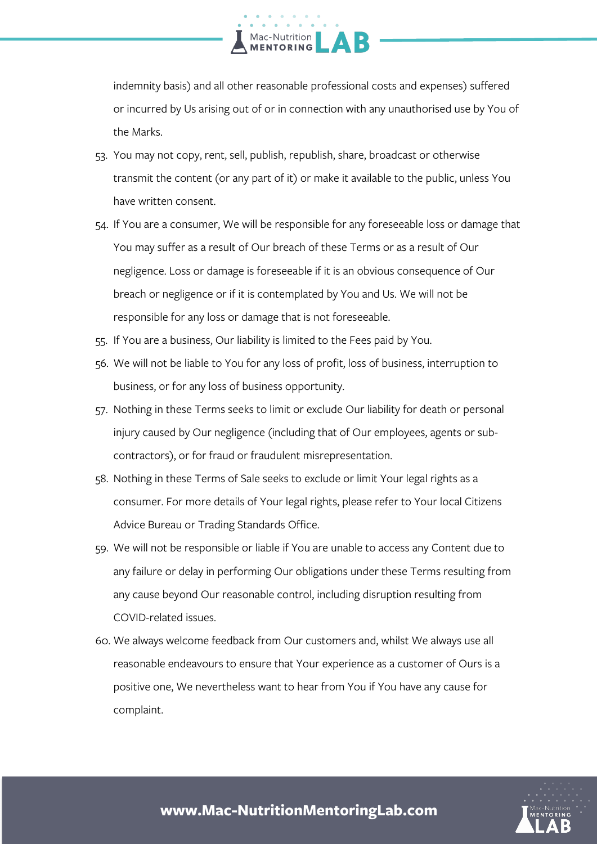

indemnity basis) and all other reasonable professional costs and expenses) suffered or incurred by Us arising out of or in connection with any unauthorised use by You of the Marks.

- 53. You may not copy, rent, sell, publish, republish, share, broadcast or otherwise transmit the content (or any part of it) or make it available to the public, unless You have written consent.
- 54. If You are a consumer, We will be responsible for any foreseeable loss or damage that You may suffer as a result of Our breach of these Terms or as a result of Our negligence. Loss or damage is foreseeable if it is an obvious consequence of Our breach or negligence or if it is contemplated by You and Us. We will not be responsible for any loss or damage that is not foreseeable.
- 55. If You are a business, Our liability is limited to the Fees paid by You.
- 56. We will not be liable to You for any loss of profit, loss of business, interruption to business, or for any loss of business opportunity.
- 57. Nothing in these Terms seeks to limit or exclude Our liability for death or personal injury caused by Our negligence (including that of Our employees, agents or subcontractors), or for fraud or fraudulent misrepresentation.
- 58. Nothing in these Terms of Sale seeks to exclude or limit Your legal rights as a consumer. For more details of Your legal rights, please refer to Your local Citizens Advice Bureau or Trading Standards Office.
- 59. We will not be responsible or liable if You are unable to access any Content due to any failure or delay in performing Our obligations under these Terms resulting from any cause beyond Our reasonable control, including disruption resulting from COVID-related issues.
- 60. We always welcome feedback from Our customers and, whilst We always use all reasonable endeavours to ensure that Your experience as a customer of Ours is a positive one, We nevertheless want to hear from You if You have any cause for complaint.

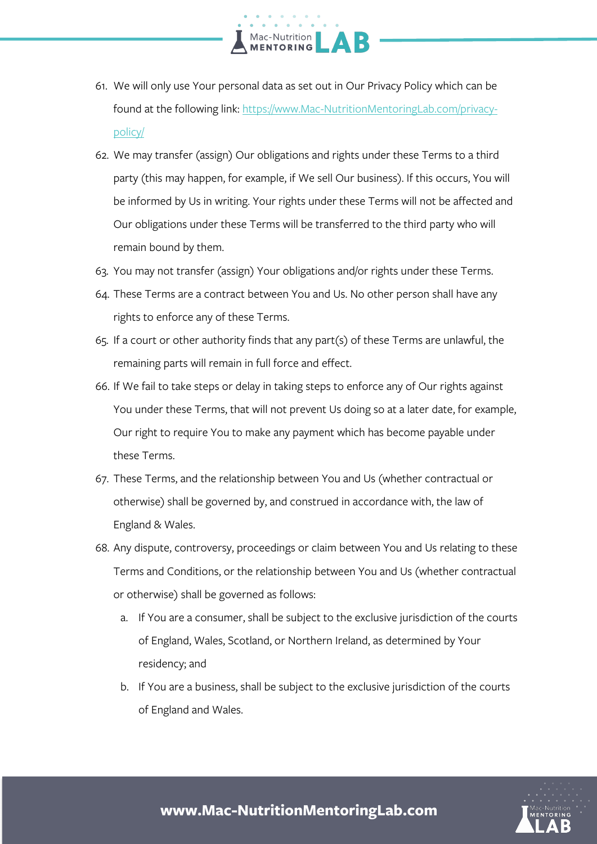61. We will only use Your personal data as set out in Our Privacy Policy which can be found at the following link: https://www.Mac-NutritionMentoringLab.com/privacypolicy/

Mac-Nutrition<br>**MENTORING** 

- 62. We may transfer (assign) Our obligations and rights under these Terms to a third party (this may happen, for example, if We sell Our business). If this occurs, You will be informed by Us in writing. Your rights under these Terms will not be affected and Our obligations under these Terms will be transferred to the third party who will remain bound by them.
- 63. You may not transfer (assign) Your obligations and/or rights under these Terms.
- 64. These Terms are a contract between You and Us. No other person shall have any rights to enforce any of these Terms.
- 65. If a court or other authority finds that any part(s) of these Terms are unlawful, the remaining parts will remain in full force and effect.
- 66. If We fail to take steps or delay in taking steps to enforce any of Our rights against You under these Terms, that will not prevent Us doing so at a later date, for example, Our right to require You to make any payment which has become payable under these Terms.
- 67. These Terms, and the relationship between You and Us (whether contractual or otherwise) shall be governed by, and construed in accordance with, the law of England & Wales.
- 68. Any dispute, controversy, proceedings or claim between You and Us relating to these Terms and Conditions, or the relationship between You and Us (whether contractual or otherwise) shall be governed as follows:
	- a. If You are a consumer, shall be subject to the exclusive jurisdiction of the courts of England, Wales, Scotland, or Northern Ireland, as determined by Your residency; and
	- b. If You are a business, shall be subject to the exclusive jurisdiction of the courts of England and Wales.

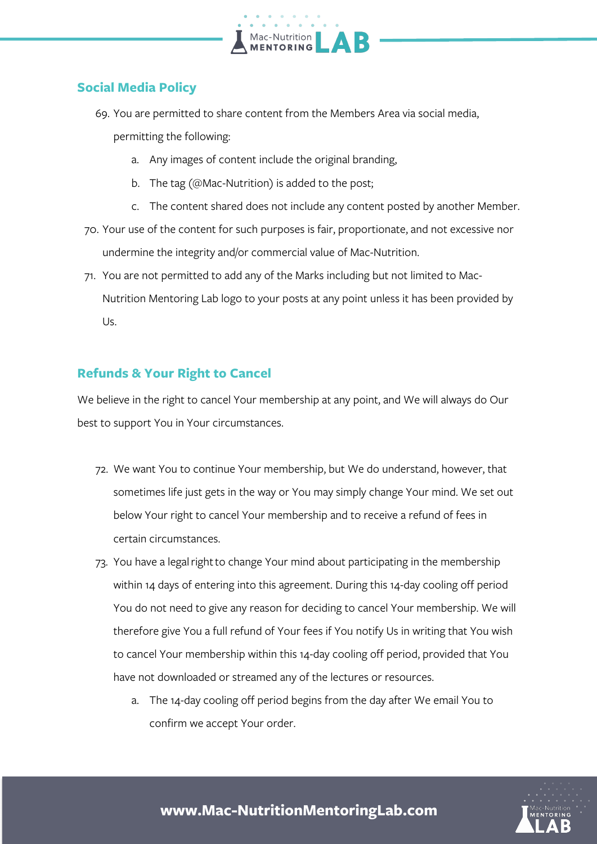

#### **Social Media Policy**

69. You are permitted to share content from the Members Area via social media,

permitting the following:

- a. Any images of content include the original branding,
- b. The tag (@Mac-Nutrition) is added to the post;
- c. The content shared does not include any content posted by another Member.
- 70. Your use of the content for such purposes is fair, proportionate, and not excessive nor undermine the integrity and/or commercial value of Mac-Nutrition.
- 71. You are not permitted to add any of the Marks including but not limited to Mac-Nutrition Mentoring Lab logo to your posts at any point unless it has been provided by Us.

#### **Refunds & Your Right to Cancel**

We believe in the right to cancel Your membership at any point, and We will always do Our best to support You in Your circumstances.

- 72. We want You to continue Your membership, but We do understand, however, that sometimes life just gets in the way or You may simply change Your mind. We set out below Your right to cancel Your membership and to receive a refund of fees in certain circumstances.
- 73. You have a legalrightto change Your mind about participating in the membership within 14 days of entering into this agreement. During this 14-day cooling off period You do not need to give any reason for deciding to cancel Your membership. We will therefore give You a full refund of Your fees if You notify Us in writing that You wish to cancel Your membership within this 14-day cooling off period, provided that You have not downloaded or streamed any of the lectures or resources.
	- a. The 14-day cooling off period begins from the day after We email You to confirm we accept Your order.

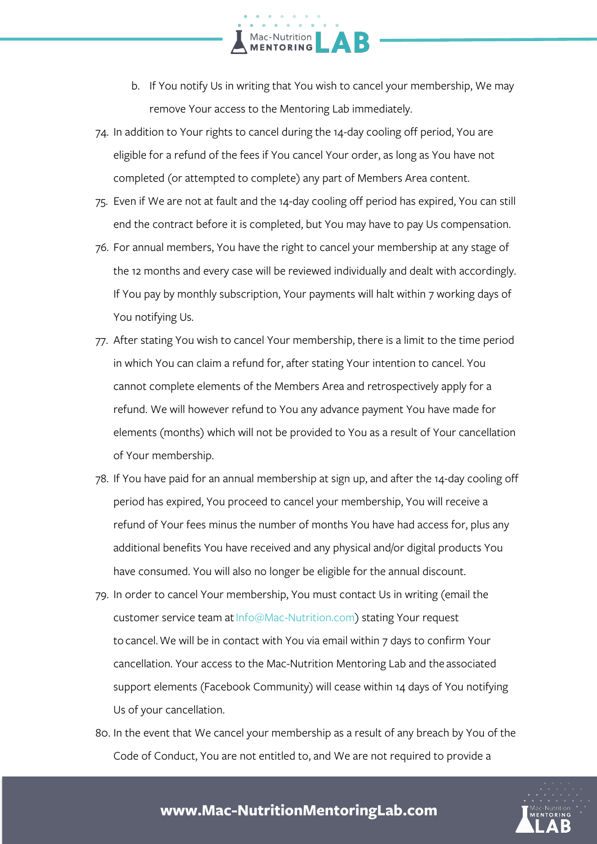- b. If You notify Us in writing that You wish to cancel your membership, We may remove Your access to the Mentoring Lab immediately.
- 74. In addition to Your rights to cancel during the 14-day cooling off period, You are eligible for a refund of the fees if You cancel Your order, as long as You have not completed (or attempted to complete) any part of Members Area content.

Mac-Nutrition

- 75. Even if We are not at fault and the 14-day cooling off period has expired, You can still end the contract before it is completed, but You may have to pay Us compensation.
- 76. For annual members, You have the right to cancel your membership at any stage of the 12 months and every case will be reviewed individually and dealt with accordingly. If You pay by monthly subscription, Your payments will halt within 7 working days of You notifying Us.
- 77. After stating You wish to cancel Your membership, there is a limit to the time period in which You can claim a refund for, after stating Your intention to cancel. You cannot complete elements of the Members Area and retrospectively apply for a refund. We will however refund to You any advance payment You have made for elements (months) which will not be provided to You as a result of Your cancellation of Your membership.
- 78. If You have paid for an annual membership at sign up, and after the 14-day cooling off period has expired, You proceed to cancel your membership, You will receive a refund of Your fees minus the number of months You have had access for, plus any additional benefits You have received and any physical and/or digital products You have consumed. You will also no longer be eligible for the annual discount.
- 79. In order to cancel Your membership, You must contact Us in writing (email the customer service team at Info@Mac-Nutrition.com) stating Your request to cancel.We will be in contact with You via email within 7 days to confirm Your cancellation. Your access to the Mac-Nutrition Mentoring Lab and the associated support elements (Facebook Community) will cease within 14 days of You notifying Us of your cancellation.
- 80. In the event that We cancel your membership as a result of any breach by You of the Code of Conduct, You are not entitled to, and We are not required to provide a